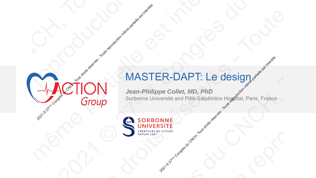## MASTER-DAPT: Le design

*Jean-Philippe Collet, MD, PhD* Son BONNE CONCHER-DAPT: Le designer du CNCH, Toute réservés - Toute réservés - Toute réservés - Toute réservé<br>2021 CONCHER-DAPT: Le designer du CNCH, Toute réservés - Toute réservés - Toute réservés - Toute reproduction mê ER-DAPT: Le designere du consideration en la production measurement and Pittle-Salpétrière Hospital, Paris, France 2021 Constant Content Content Content Content Content Content Content Content Content Content Content Content<br>
2021 Content Content Content Content Content Content Content Content Content Content Content Content Content<br>
2 **2020** MASTER-DAPT: Le des<br>
2020 Croup<br>
2020 Croup<br>
2020 CREARE CONFE CONFE CONGRÈSS AND THE STREAME<br>
2020 CREARE CONFE CONFE CONFE CONFE 2020 Congrès de 2020 Contenant du Constitution mémorie du CNCH, Toute réservés du CNCH, Toute réservés du CNCH, Toute réservés du CNCH, Toute du CNCH, Toute du CNCH, Toute du CNCH, Toute du CNCH, Toute du CNCH, Toute du CN 2020 Congrès de 2020 Contenant du Constitution mémorie du CNCH, Toute réservés du CNCH, Toute réservés du CNCH, Toute réservés du CNCH, Toute du CNCH, Toute du CNCH, Toute du CNCH, Toute du CNCH, Toute du CNCH, Toute du CN 2020 Congrès de 2020 Contenant du Constitution mémorie du CNCH, Toute réservés du CNCH, Toute réservés du CNCH, Toute réservés du CNCH, Toute du CNCH, Toute du CNCH, Toute du CNCH, Toute du CNCH, Toute du CNCH, Toute du CN 2020 CON MASTER-DAPT: Le designed and proposale est interdite reproduction mémetique est interdite. Paris, France 2020 Congrès de 2020 Contenant du Constitution mémorie du CNCH, Toute réservés du CNCH, Toute réservés du CNCH, Toute réservés du CNCH, Toute du CNCH, Toute du CNCH, Toute du CNCH, Toute du CNCH, Toute du CNCH, Toute du CN

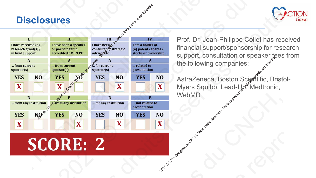### **Disclosures**





Prof. Dr. Jean-Philippe Collet has received financial support/sponsorship for research support, consultation or speaker fees from the following companies:

AstraZeneca, Boston Sciৣent̃tific, Bristol-Myers Squibb, Lead-Up, Medtronic, WebMD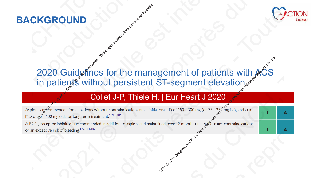



# 2020 Guidelines for the management of patients with ACS in patients without persistent ST-segment elevation Collet J-P, Thiele H. | Eur Heart J 2020<br>
Collect System (COLLER) The COLLER HEART DESERVES - Tour Means of the memorial call partielle est interdite.<br>
Collet J-P, Thiele H. | Eur Heart J 2020<br>
The memorial for all patient Eur Heart J 2020<br>
Partiellevation (1976)<br>
Congrès du Congrès de Congrès du Congrès du Congrès du Congrès du Congrès du Congrès du Congrès du Congrès du Congrès du Congrès du Congrès du Congrès du Congrès du Congrès du Cong 2021 ND<br>2021 Congrès du Congrès du Congrès du Congrès du Congrès du Congrès du Congrès du Congrès du Congrès du Congrès du Congrès du Congrès du Congrès du Congrès du Congrès du Congrès du Congrès du Congrès du Congrès du **2020 Guidelfines for the management of patients in patients in patients without persistent ST-segment elevation members of the management of patients Collect J-P, Thiele H. | Eur Heart J 2020 2020** Guidel<sup>ffnes</sup> for the management of patients with  $\frac{1}{2}$ <br>
2020 Guidelfines for the management of patients with  $\frac{1}{2}$ <br> **Congrès in patients without persistent ST-segment elevation and the conflict of the stat 2020** Guidel<sup>ffnes</sup> for the management of patients with  $\frac{1}{2}$ <br>
2020 Guidelfines for the management of patients with  $\frac{1}{2}$ <br> **Congrès in patients without persistent ST-segment elevation and the conflict of the stat 2020** Guidel<sup>ffnes</sup> for the management of patients with  $\frac{1}{2}$ <br>
2020 Guidelfines for the management of patients with  $\frac{1}{2}$ <br> **Congrès in patients without persistent ST-segment elevation and the conflict of the stat EXGROUND**<br>
2020 Guidelfines for the management of patients with  $ACS$ <br>
in patients without persistent ST-segment elevation.<br>
Collet J-P, Thiele H. | Eur Heart J 2020<br>
Congrès de Congrès en the Congrès de la distinction mé **2020** Guidel<sup>ffnes</sup> for the management of patients with  $\frac{1}{2}$ <br>
2020 Guidelfines for the management of patients with  $\frac{1}{2}$ <br> **Congrès in patients without persistent ST-segment elevation and the conflict of the stat**

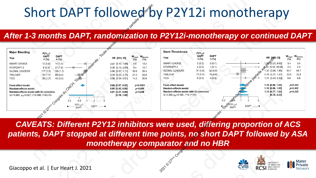#### *After 1-3 months DAPT, randomization to P2Y12i-monotherapy or continued DAPT*



| nort DAPT followed by P2Y12i monotherapy<br>Stent Thrombosis<br>P2Y <sub>12</sub> -I<br>SAPT DAPT<br>n (%) n (%)<br>$HR$ [95% CI] $W_{Fixed}$ $W_{Random}$ (%) $(%)$<br>$\begin{array}{ccc} \textsf{HR} & \textsf{[95\% CI]} & & \textsf{W}_{\textsf{Fixed}} & \textsf{W}_{\textsf{Random}} \ & & \textsf{(\%)} & & \textsf{(\%)} \end{array}$<br><b>Trial</b><br>0.87 [0.40, 1.88] 5.8 13.2<br>0.30 [0.13, 0.65] 5.4 12.7<br>0.86 [0.67, 1.11] 53.6 29.3<br>0.49 [0.33, 0.74] 21.0 23.9<br>0.56 [0.34, 0.91] 14.2 20.8<br>$3(0.2)$ $2(0.1)$<br>SMART-CHOICE<br>3.4<br>[0.25, 9.02]<br>3.4<br>$4(0.3)$ $1(0.1)$<br>STOPDAPT-2<br>2.3<br>$\longrightarrow$ $\cancel{303}$ [0.45, 36.08] 2.3<br>$\overline{\phantom{a}}$<br>64.7<br>$31(0.8)$ $32(0.8)$<br>$\sqrt{6}$ 1.30 [0.86, 1.95] 64.7<br><b>GLOBAL LEADERS</b><br>$0.74$ [0.37, 1.47] 22.8 22.8<br>$14(0.4)$ $19(0.6)$<br>6(0.4) $4(0.3)$<br><b>TWILIGHT</b><br>$\overrightarrow{O}$ 1.51 [0.43, 5.33] 6.8 6.8<br><b>TICO</b><br>$ -$<br>1.19 [0.86, 1.65] $p=0.302$<br>1.19 [0.86, 1.65] $p=0.302$<br>1.19 [0.77, 1.83] $p=0.325$<br>[0.70, 2.03]<br><b>Fixed effect model</b><br>p<0.0001<br>0.68 [0.57, 0.82]<br>Random-effects model<br>$p=0.005$<br>$0.60$ [0.42, 0.86]<br>$p = 0.048$<br>Random-effects model with CI correction<br>Q=3.389, $p_Q$ =0.495; $\tau^2$ =0; $l^2$ =0%<br>$0.61$ [0.37, 0.99]<br>[0.19, 1.89]<br>$\begin{array}{ c c c c c }\n\hline\n& & & & & & \\ \hline\n0.2 & 0.5 & 1 & 2 & 5\n\end{array}$<br>$DAPT$ $\longrightarrow$<br>$\leftarrow$ $\frac{P2Y_{12}I}{SAPT}$<br><b>monotherapy comparator and no HBR</b><br><b>ACCEPT OF MEDICINE DEL PROPREDICINE CENTRE DEL PROPREDICINE RCSI</b> SCIENCES<br>CVRI <sub>N</sub> |                                                                                                                                                                                                                                |  |
|------------------------------------------------------------------------------------------------------------------------------------------------------------------------------------------------------------------------------------------------------------------------------------------------------------------------------------------------------------------------------------------------------------------------------------------------------------------------------------------------------------------------------------------------------------------------------------------------------------------------------------------------------------------------------------------------------------------------------------------------------------------------------------------------------------------------------------------------------------------------------------------------------------------------------------------------------------------------------------------------------------------------------------------------------------------------------------------------------------------------------------------------------------------------------------------------------------------------------------------------------------------------------------------------------------------------------------------------------------------------------------------------------------------------------------------------------------------------------------------------------------------------------------------------------------------------------------------------------------------------------------------------------------------------------------------------------------------|--------------------------------------------------------------------------------------------------------------------------------------------------------------------------------------------------------------------------------|--|
|                                                                                                                                                                                                                                                                                                                                                                                                                                                                                                                                                                                                                                                                                                                                                                                                                                                                                                                                                                                                                                                                                                                                                                                                                                                                                                                                                                                                                                                                                                                                                                                                                                                                                                                  |                                                                                                                                                                                                                                |  |
|                                                                                                                                                                                                                                                                                                                                                                                                                                                                                                                                                                                                                                                                                                                                                                                                                                                                                                                                                                                                                                                                                                                                                                                                                                                                                                                                                                                                                                                                                                                                                                                                                                                                                                                  |                                                                                                                                                                                                                                |  |
|                                                                                                                                                                                                                                                                                                                                                                                                                                                                                                                                                                                                                                                                                                                                                                                                                                                                                                                                                                                                                                                                                                                                                                                                                                                                                                                                                                                                                                                                                                                                                                                                                                                                                                                  |                                                                                                                                                                                                                                |  |
|                                                                                                                                                                                                                                                                                                                                                                                                                                                                                                                                                                                                                                                                                                                                                                                                                                                                                                                                                                                                                                                                                                                                                                                                                                                                                                                                                                                                                                                                                                                                                                                                                                                                                                                  |                                                                                                                                                                                                                                |  |
|                                                                                                                                                                                                                                                                                                                                                                                                                                                                                                                                                                                                                                                                                                                                                                                                                                                                                                                                                                                                                                                                                                                                                                                                                                                                                                                                                                                                                                                                                                                                                                                                                                                                                                                  |                                                                                                                                                                                                                                |  |
|                                                                                                                                                                                                                                                                                                                                                                                                                                                                                                                                                                                                                                                                                                                                                                                                                                                                                                                                                                                                                                                                                                                                                                                                                                                                                                                                                                                                                                                                                                                                                                                                                                                                                                                  |                                                                                                                                                                                                                                |  |
|                                                                                                                                                                                                                                                                                                                                                                                                                                                                                                                                                                                                                                                                                                                                                                                                                                                                                                                                                                                                                                                                                                                                                                                                                                                                                                                                                                                                                                                                                                                                                                                                                                                                                                                  |                                                                                                                                                                                                                                |  |
|                                                                                                                                                                                                                                                                                                                                                                                                                                                                                                                                                                                                                                                                                                                                                                                                                                                                                                                                                                                                                                                                                                                                                                                                                                                                                                                                                                                                                                                                                                                                                                                                                                                                                                                  |                                                                                                                                                                                                                                |  |
|                                                                                                                                                                                                                                                                                                                                                                                                                                                                                                                                                                                                                                                                                                                                                                                                                                                                                                                                                                                                                                                                                                                                                                                                                                                                                                                                                                                                                                                                                                                                                                                                                                                                                                                  |                                                                                                                                                                                                                                |  |
|                                                                                                                                                                                                                                                                                                                                                                                                                                                                                                                                                                                                                                                                                                                                                                                                                                                                                                                                                                                                                                                                                                                                                                                                                                                                                                                                                                                                                                                                                                                                                                                                                                                                                                                  |                                                                                                                                                                                                                                |  |
|                                                                                                                                                                                                                                                                                                                                                                                                                                                                                                                                                                                                                                                                                                                                                                                                                                                                                                                                                                                                                                                                                                                                                                                                                                                                                                                                                                                                                                                                                                                                                                                                                                                                                                                  |                                                                                                                                                                                                                                |  |
|                                                                                                                                                                                                                                                                                                                                                                                                                                                                                                                                                                                                                                                                                                                                                                                                                                                                                                                                                                                                                                                                                                                                                                                                                                                                                                                                                                                                                                                                                                                                                                                                                                                                                                                  |                                                                                                                                                                                                                                |  |
|                                                                                                                                                                                                                                                                                                                                                                                                                                                                                                                                                                                                                                                                                                                                                                                                                                                                                                                                                                                                                                                                                                                                                                                                                                                                                                                                                                                                                                                                                                                                                                                                                                                                                                                  |                                                                                                                                                                                                                                |  |
|                                                                                                                                                                                                                                                                                                                                                                                                                                                                                                                                                                                                                                                                                                                                                                                                                                                                                                                                                                                                                                                                                                                                                                                                                                                                                                                                                                                                                                                                                                                                                                                                                                                                                                                  |                                                                                                                                                                                                                                |  |
|                                                                                                                                                                                                                                                                                                                                                                                                                                                                                                                                                                                                                                                                                                                                                                                                                                                                                                                                                                                                                                                                                                                                                                                                                                                                                                                                                                                                                                                                                                                                                                                                                                                                                                                  | I months DAPT, randomization to P2Y12i-monotherapy or continued DAPT                                                                                                                                                           |  |
|                                                                                                                                                                                                                                                                                                                                                                                                                                                                                                                                                                                                                                                                                                                                                                                                                                                                                                                                                                                                                                                                                                                                                                                                                                                                                                                                                                                                                                                                                                                                                                                                                                                                                                                  | <b>P2Y<sub>12</sub>-1</b><br><b>SAPT</b> DAPT<br>n (%) n (%)<br>12 (0.8) 14 (1.0)<br>8 (0.5) 27 (1.8) -<br>117 (1.5) 136 (1.7)<br>34 (1.0) 69 (2.0)<br>25 (1.7) 45 (3.0)<br>with CI correction<br>).096; I <del>'</del> =63.5% |  |
|                                                                                                                                                                                                                                                                                                                                                                                                                                                                                                                                                                                                                                                                                                                                                                                                                                                                                                                                                                                                                                                                                                                                                                                                                                                                                                                                                                                                                                                                                                                                                                                                                                                                                                                  | EATS: Different P2Y12 inhibitors were used, differing proportion of ACS<br>s, DAPT stopped at different time points, no short DAPT followed by ASA                                                                             |  |
|                                                                                                                                                                                                                                                                                                                                                                                                                                                                                                                                                                                                                                                                                                                                                                                                                                                                                                                                                                                                                                                                                                                                                                                                                                                                                                                                                                                                                                                                                                                                                                                                                                                                                                                  | t al.   Eur Heart J. 2021                                                                                                                                                                                                      |  |
|                                                                                                                                                                                                                                                                                                                                                                                                                                                                                                                                                                                                                                                                                                                                                                                                                                                                                                                                                                                                                                                                                                                                                                                                                                                                                                                                                                                                                                                                                                                                                                                                                                                                                                                  |                                                                                                                                                                                                                                |  |
|                                                                                                                                                                                                                                                                                                                                                                                                                                                                                                                                                                                                                                                                                                                                                                                                                                                                                                                                                                                                                                                                                                                                                                                                                                                                                                                                                                                                                                                                                                                                                                                                                                                                                                                  |                                                                                                                                                                                                                                |  |
|                                                                                                                                                                                                                                                                                                                                                                                                                                                                                                                                                                                                                                                                                                                                                                                                                                                                                                                                                                                                                                                                                                                                                                                                                                                                                                                                                                                                                                                                                                                                                                                                                                                                                                                  |                                                                                                                                                                                                                                |  |
|                                                                                                                                                                                                                                                                                                                                                                                                                                                                                                                                                                                                                                                                                                                                                                                                                                                                                                                                                                                                                                                                                                                                                                                                                                                                                                                                                                                                                                                                                                                                                                                                                                                                                                                  |                                                                                                                                                                                                                                |  |

*CAVEATS: Different P2Y12 inhibitors were used, differing proportion of ACS patients, DAPT stopped at different time points, no short DAPT followed by ASA monotherapy comparator and no HBR*

Giacoppo et al. | Eur Heart J. 2021



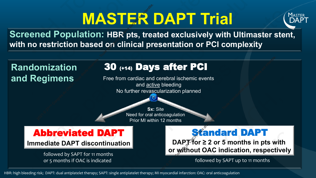# **MASTER DAPT Trial**



**Screened Population: HBR pts, treated exclusively with Ultimaster stent, with no restriction based on clinical presentation or PCI complexity**

# 30 (+14) Days after PCI Abbreviated DAPT **Immediate DAPT discontinuation Standard DAPT DAPT for ≥ 2 or 5 months in pts with or without OAC indication, respectively Sx:** Site Need for oral anticoagulation Prior MI within 12 months followed by SAPT for 11 months or 5 months if OAC is indicated **Randomization and Regimens Free from cardiac and cerebral ischemic events** and active bleeding No further revascularization planned **2021 Propulation: HBR pts, tree**<br> **20** (+14) Day<br>
egimens<br>
Pree from cardiac and act<br>
No further revase<br>
No further revase<br>
No further revase 2022<br>
2022<br>
2022 Deeding<br>
2022<br>
2022 Or 5 Months in pts was dropped to the partielle est interdite.<br>
2022 Or 5 Months in pts was dropped to the partielle est interest interdite.<br>
2022 Or 5 Months in pts was dropped to the **2021 CONSERVER CONGRESS APT OF ALL PROPERTY CONSERVER CONGRESS AND CONSERVER CONSERVER CONGRESS CONSERVER CONSERVER CONSERVER CONSERVER CONSERVER CONSERVER CONSERVER CONSERVER CONSERVER CONSERVER CONSERVER CONSERVER CONSE** ERDAPT<br>
2020 Screened Population: HBR pts, treated exclusively with L<br>
with no restriction based on clinical presentation or PCI com<br>
The form cardiac and creebeding<br>
Free from cardiac and creebeding<br>
No further revascular ERDAPT<br>
2020 Screened Population: HBR pts, treated exclusively with Ultimaster stent,<br>
with no restriction based on clinical presentation or PCI complexity<br>
20 (+t4) Days after PCI<br>
and Regimens<br>
Free from cardiac and cree ERDAPT<br>
2020 Screened Population: HBR pts, treated exclusively with Ultimaster stent,<br>
with no restriction based on clinical presentation or PCI complexity<br>
20 (+t4) Days after PCI<br>
and Regimens<br>
Free from cardiac and cree ERDAPT<br>
2020 Screened Population: HBR pts, treated exclusively with Ultimaster stent,<br>
with no restriction based on clinical presentation or PCI complexity<br>
20 (+t4) Days after PCI<br>
and Regimens<br>
Free from cardiac and cree **2020 Congrès du CNCH, Tous droits réservés du CNCH, CNCH, CNCH, CNCH, CNCH, CNCH, CNCH, CNCH, CNCH, CNCH, CNCH, CNCH, CNCH, CNCH, CNCH, CNCH, CNCH, CNCH, CNCH, CNCH, CNCH, CNCH, CNCH, CNCH, CNCH, CNCH, CNCH, CNCH, CNCH, C** ERDAPT<br>
2020 Screened Population: HBR pts, treated exclusively with Ultimaster stent,<br>
with no restriction based on clinical presentation or PCI complexity<br>
20 (+t4) Days after PCI<br>
and Regimens<br>
Free from cardiac and cree

followed by SAPT up to 11 months

HBR: high bleeding risk; DAPT: dual antiplatelet therapy; SAPT: single antiplatelet therapy; MI myocardial infarction: OAC: oral anticoagulation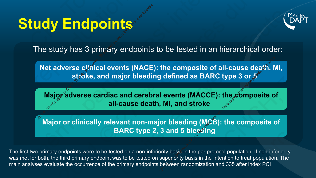# **Study Endpoints**



The study has 3 primary endpoints to be tested in an hierarchical order:

**Net adverse clinical events (NACE): the composite of all-cause death, MI, stroke, and major bleeding defined as BARC type 3 or 5 2022 Endpoints**<br>2022 Endpoints<br>The study has 3 primary endpoints<br>**Exerces dest interest interact reproduced:**<br>2023 - Toute reproduced:<br>2023 - Toute reproduced:<br>2023 - Toute reproduction major set in terms of the parties.

**Major adverse cardiac and cerebral events (MACCE): the composite of all-cause death, MI, and stroke** 

**Major or clinically relevant non-major bleeding (MCB): the composite of BARC type 2, 3 and 5 bleeding**

The first two primary endpoints were to be tested on a non-inferiority basis in the per protocol population. If non-inferiority was met for both, the third primary endpoint was to be tested on superiority basis in the Intention to treat population. The main analyses evaluate the occurrence of the primary endpoints between randomization and 335 after index PCI 2021 The composite of all-cause death, N<br>
2021 Gefined as BARC type 3 or  $5^{\circ}$ <br>
2021 Events (MACCE): the composite of<br>
2021 MI, and stroke<br>
2021 Or bleeding (MCE): the composite of<br>
3 and 5 bleesting<br>
Duity basis in the **2021 Conserved CONT CONTREVERT CONTREVERT CONTREPT**<br>
2021 Primary endpoints to be tested in an hierarchical order:<br>
2021 Conservére during a strike, and major bleeding defined as BARC type 3 or 5<br>
2021 Conservére cardiac **2020 CONGREGIVE CONGREGIVE CONGREGIVED CONGREGIVED CONGREGIVED CONGREGIVED CONGREGIVED CONGREGIVED CONGREGIVED CONGREGIVED CONGREGIVED CONGREGIVED CONGREGIVED CONGREGIVED CONGREGIVED CONGREGIVED CONGREGIVED CONGREGIVED CO 2020 Study Endpoints**<br>
2020 The study has 3 primary endpoints to be tested in an hierarchical order:<br>
Net adverse clarical events (NACE): the composite of all-cause death, MI,<br>
2020 France clarical external events (MACCE) **2020 Study Endpoints**<br>
2020 The study has 3 primary endpoints to be tested in an hierarchical order:<br>
Net adverse clarical events (NACE): the composite of all-cause death, MI,<br>
2020 France clarical external events (MACCE) **2020 Study Endpoints**<br>
2020 The study has 3 primary endpoints to be tested in an hierarchical order:<br>
Net adverse clarical events (NACE): the composite of all-cause death, MI,<br>
2020 France clarical external events (MACCE) **2020 Conserved CONCH CONGREGIST CONGREGIST CONGREGIST CONGREGIST CONGREGIST CONGREGIST CONGREGIST CONGREGIST CONGREGIST CONGREGIST CONGREGIST CONGREGIST CONGREGIST CONGREGIST CONGREGIST CONGREGIST CONGREGIST CONGREGIST CO 2020 Study Endpoints**<br>
2020 The study has 3 primary endpoints to be tested in an hierarchical order:<br>
Net adverse clarical events (NACE): the composite of all-cause death, MI,<br>
2020 France clarical external events (MACCE)